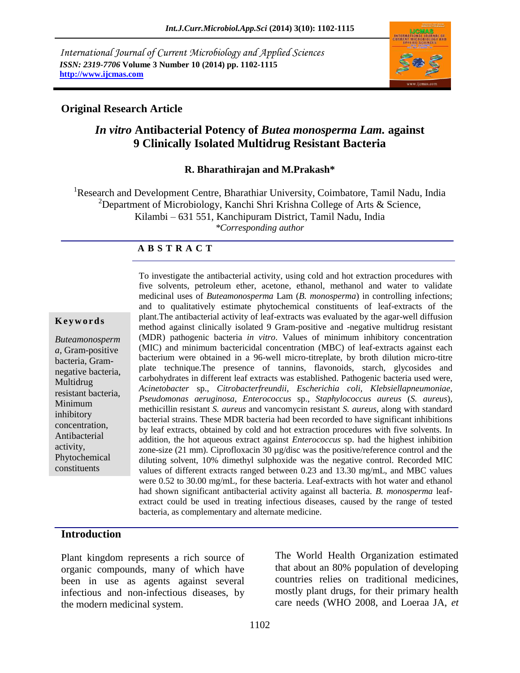*International Journal of Current Microbiology and Applied Sciences ISSN: 2319-7706* **Volume 3 Number 10 (2014) pp. 1102-1115 http://www.ijcmas.com**



## **Original Research Article**

# *In vitro* **Antibacterial Potency of** *Butea monosperma Lam.* **against 9 Clinically Isolated Multidrug Resistant Bacteria**

#### **R. Bharathirajan and M.Prakash\***

<sup>1</sup>Research and Development Centre, Bharathiar University, Coimbatore, Tamil Nadu, India <sup>2</sup>Department of Microbiology, Kanchi Shri Krishna College of Arts & Science, Kilambi – 631 551, Kanchipuram District, Tamil Nadu, India *\*Corresponding author*

## **A B S T R A C T**

#### **K e y w o r d s**

*Buteamonosperm a,* Gram-positive bacteria, Gramnegative bacteria, Multidrug resistant bacteria, Minimum inhibitory concentration, Antibacterial activity, Phytochemical constituents

To investigate the antibacterial activity, using cold and hot extraction procedures with five solvents, petroleum ether, acetone, ethanol, methanol and water to validate medicinal uses of *Buteamonosperma* Lam (*B. monosperma*) in controlling infections; and to qualitatively estimate phytochemical constituents of leaf-extracts of the plant.The antibacterial activity of leaf-extracts was evaluated by the agar-well diffusion method against clinically isolated 9 Gram-positive and -negative multidrug resistant (MDR) pathogenic bacteria *in vitro*. Values of minimum inhibitory concentration (MIC) and minimum bactericidal concentration (MBC) of leaf-extracts against each bacterium were obtained in a 96-well micro-titreplate, by broth dilution micro-titre plate technique.The presence of tannins, flavonoids, starch, glycosides and carbohydrates in different leaf extracts was established. Pathogenic bacteria used were, *Acinetobacter* sp., *Citrobacterfreundii, Escherichia coli, Klebsiellapneumoniae, Pseudomonas aeruginosa, Enterococcus* sp., *Staphylococcus aureus* (*S. aureus*), methicillin resistant *S. aureus* and vancomycin resistant *S. aureus*, along with standard bacterial strains. These MDR bacteria had been recorded to have significant inhibitions by leaf extracts, obtained by cold and hot extraction procedures with five solvents. In addition, the hot aqueous extract against *Enterococcus* sp. had the highest inhibition zone-size (21 mm). Ciprofloxacin 30 µg/disc was the positive/reference control and the diluting solvent, 10% dimethyl sulphoxide was the negative control. Recorded MIC values of different extracts ranged between 0.23 and 13.30 mg/mL, and MBC values were 0.52 to 30.00 mg/mL, for these bacteria. Leaf-extracts with hot water and ethanol had shown significant antibacterial activity against all bacteria. *B. monosperma* leafextract could be used in treating infectious diseases, caused by the range of tested bacteria, as complementary and alternate medicine.

#### **Introduction**

Plant kingdom represents a rich source of organic compounds, many of which have been in use as agents against several infectious and non-infectious diseases, by the modern medicinal system.

The World Health Organization estimated that about an 80% population of developing countries relies on traditional medicines, mostly plant drugs, for their primary health care needs (WHO 2008, and Loeraa JA, *et*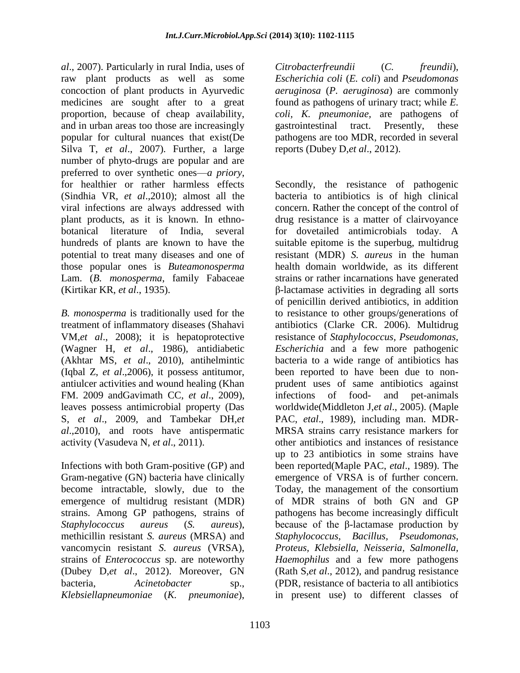*al*., 2007). Particularly in rural India, uses of raw plant products as well as some concoction of plant products in Ayurvedic medicines are sought after to a great proportion, because of cheap availability, and in urban areas too those are increasingly popular for cultural nuances that exist(De Silva T, *et al*., 2007). Further, a large number of phyto-drugs are popular and are preferred to over synthetic ones—*a priory*, for healthier or rather harmless effects (Sindhia VR, *et al*.,2010); almost all the viral infections are always addressed with plant products, as it is known. In ethnobotanical literature of India, several hundreds of plants are known to have the potential to treat many diseases and one of those popular ones is *Buteamonosperma* Lam. (*B. monosperma*, family Fabaceae (Kirtikar KR, *et al*., 1935).

*B. monosperma* is traditionally used for the treatment of inflammatory diseases (Shahavi VM,*et al*., 2008); it is hepatoprotective (Wagner H, *et al*., 1986), antidiabetic (Akhtar MS, *et al*., 2010), antihelmintic (Iqbal Z, *et al*.,2006), it possess antitumor, antiulcer activities and wound healing (Khan FM. 2009 andGavimath CC, *et al*., 2009), leaves possess antimicrobial property (Das S, *et al*., 2009, and Tambekar DH,*et al*.,2010), and roots have antispermatic activity (Vasudeva N, *et al*., 2011).

Infections with both Gram-positive (GP) and Gram-negative (GN) bacteria have clinically become intractable, slowly, due to the emergence of multidrug resistant (MDR) strains. Among GP pathogens, strains of *Staphylococcus aureus* (*S. aureus*), methicillin resistant *S. aureus* (MRSA) and vancomycin resistant *S. aureus* (VRSA), strains of *Enterococcus* sp. are noteworthy (Dubey D,*et al*., 2012). Moreover, GN bacteria, *Acinetobacter* sp., *Klebsiellapneumoniae* (*K. pneumoniae*),

*Citrobacterfreundii* (*C. freundii*), *Escherichia coli* (*E. coli*) and *Pseudomonas aeruginosa* (*P. aeruginosa*) are commonly found as pathogens of urinary tract; while *E. coli, K. pneumoniae,* are pathogens of gastrointestinal tract. Presently, these pathogens are too MDR, recorded in several reports (Dubey D,*et al*., 2012).

Secondly, the resistance of pathogenic bacteria to antibiotics is of high clinical concern. Rather the concept of the control of drug resistance is a matter of clairvoyance for dovetailed antimicrobials today. A suitable epitome is the superbug, multidrug resistant (MDR) *S. aureus* in the human health domain worldwide, as its different strains or rather incarnations have generated β-lactamase activities in degrading all sorts of penicillin derived antibiotics, in addition to resistance to other groups/generations of antibiotics (Clarke CR. 2006). Multidrug resistance of *Staphylococcus, Pseudomonas, Escherichia* and a few more pathogenic bacteria to a wide range of antibiotics has been reported to have been due to nonprudent uses of same antibiotics against infections of food- and pet-animals worldwide(Middleton J,*et al*., 2005). (Maple PAC, *etal*., 1989), including man. MDR-MRSA strains carry resistance markers for other antibiotics and instances of resistance up to 23 antibiotics in some strains have been reported(Maple PAC, *etal*., 1989). The emergence of VRSA is of further concern. Today, the management of the consortium of MDR strains of both GN and GP pathogens has become increasingly difficult because of the β-lactamase production by *Staphylococcus, Bacillus, Pseudomonas, Proteus, Klebsiella, Neisseria, Salmonella, Haemophilus* and a few more pathogens (Rath S,*et al*., 2012), and pandrug resistance (PDR, resistance of bacteria to all antibiotics in present use) to different classes of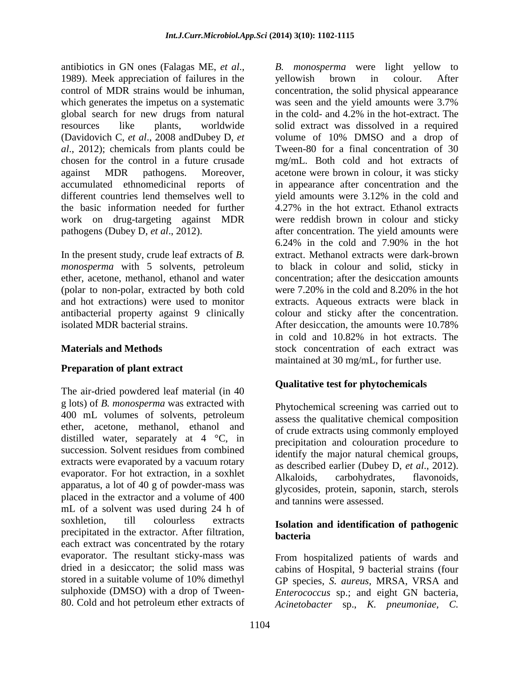antibiotics in GN ones (Falagas ME, *et al*., 1989). Meek appreciation of failures in the control of MDR strains would be inhuman, which generates the impetus on a systematic global search for new drugs from natural resources like plants, worldwide (Davidovich C, *et al*., 2008 andDubey D, *et al*., 2012); chemicals from plants could be chosen for the control in a future crusade against MDR pathogens. Moreover, accumulated ethnomedicinal reports of different countries lend themselves well to the basic information needed for further work on drug-targeting against MDR pathogens (Dubey D, *et al*., 2012).

In the present study, crude leaf extracts of *B. monosperma* with 5 solvents, petroleum ether, acetone, methanol, ethanol and water (polar to non-polar, extracted by both cold and hot extractions) were used to monitor antibacterial property against 9 clinically isolated MDR bacterial strains.

# **Materials and Methods**

### **Preparation of plant extract**

The air-dried powdered leaf material (in 40 g lots) of *B. monosperma* was extracted with 400 mL volumes of solvents, petroleum ether, acetone, methanol, ethanol and distilled water, separately at 4 °C, in succession. Solvent residues from combined extracts were evaporated by a vacuum rotary evaporator. For hot extraction, in a soxhlet apparatus, a lot of 40 g of powder-mass was placed in the extractor and a volume of 400 mL of a solvent was used during 24 h of soxhletion, till colourless extracts precipitated in the extractor. After filtration, each extract was concentrated by the rotary evaporator. The resultant sticky-mass was dried in a desiccator; the solid mass was stored in a suitable volume of 10% dimethyl sulphoxide (DMSO) with a drop of Tween-80. Cold and hot petroleum ether extracts of

*B. monosperma* were light yellow to yellowish brown in colour. After concentration, the solid physical appearance was seen and the yield amounts were 3.7% in the cold- and 4.2% in the hot-extract. The solid extract was dissolved in a required volume of 10% DMSO and a drop of Tween-80 for a final concentration of 30 mg/mL. Both cold and hot extracts of acetone were brown in colour, it was sticky in appearance after concentration and the yield amounts were 3.12% in the cold and 4.27% in the hot extract. Ethanol extracts were reddish brown in colour and sticky after concentration. The yield amounts were 6.24% in the cold and 7.90% in the hot extract. Methanol extracts were dark-brown to black in colour and solid, sticky in concentration; after the desiccation amounts were 7.20% in the cold and 8.20% in the hot extracts. Aqueous extracts were black in colour and sticky after the concentration. After desiccation, the amounts were 10.78% in cold and 10.82% in hot extracts. The stock concentration of each extract was maintained at 30 mg/mL, for further use.

# **Qualitative test for phytochemicals**

Phytochemical screening was carried out to assess the qualitative chemical composition of crude extracts using commonly employed precipitation and colouration procedure to identify the major natural chemical groups, as described earlier (Dubey D, *et al*., 2012). Alkaloids, carbohydrates, flavonoids, glycosides, protein, saponin, starch, sterols and tannins were assessed.

## **Isolation and identification of pathogenic bacteria**

From hospitalized patients of wards and cabins of Hospital, 9 bacterial strains (four GP species, *S. aureus*, MRSA, VRSA and *Enterococcus* sp.; and eight GN bacteria, *Acinetobacter* sp., *K. pneumoniae, C.*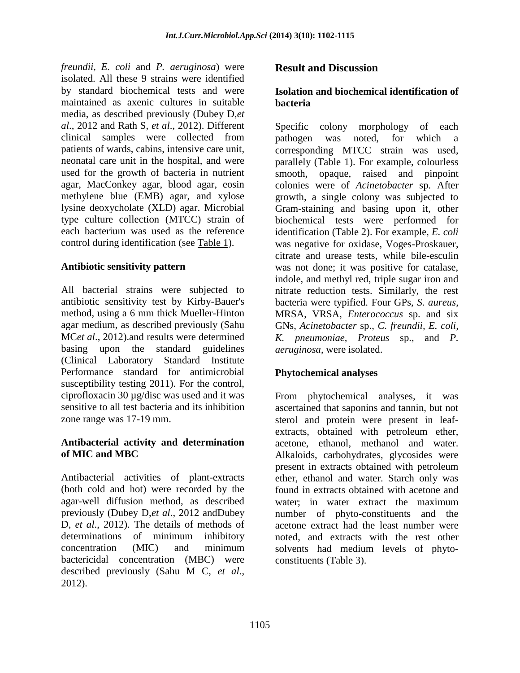*freundii, E. coli* and *P. aeruginosa*) were isolated. All these 9 strains were identified by standard biochemical tests and were maintained as axenic cultures in suitable media, as described previously (Dubey D,*et al*., 2012 and Rath S, *et al*., 2012). Different clinical samples were collected from patients of wards, cabins, intensive care unit, neonatal care unit in the hospital, and were used for the growth of bacteria in nutrient agar, MacConkey agar, blood agar, eosin methylene blue (EMB) agar, and xylose lysine deoxycholate (XLD) agar. Microbial type culture collection (MTCC) strain of each bacterium was used as the reference control during identification (see [Table 1\)](http://www.ncbi.nlm.nih.gov/pmc/articles/PMC4027298/table/apjtd-03-03-217-t01/).

## **Antibiotic sensitivity pattern**

All bacterial strains were subjected to antibiotic sensitivity test by Kirby-Bauer's method, using a 6 mm thick Mueller-Hinton agar medium, as described previously (Sahu MC*et al*., 2012).and results were determined basing upon the standard guidelines (Clinical Laboratory Standard Institute Performance standard for antimicrobial susceptibility testing 2011). For the control, ciprofloxacin 30 µg/disc was used and it was sensitive to all test bacteria and its inhibition zone range was 17-19 mm.

### **Antibacterial activity and determination of MIC and MBC**

Antibacterial activities of plant-extracts (both cold and hot) were recorded by the agar-well diffusion method, as described previously (Dubey D,*et al*., 2012 andDubey D, *et al*., 2012). The details of methods of determinations of minimum inhibitory concentration (MIC) and minimum bactericidal concentration (MBC) were described previously (Sahu M C, *et al*., 2012).

# **Result and Discussion**

## **Isolation and biochemical identification of bacteria**

Specific colony morphology of each pathogen was noted, for which a corresponding MTCC strain was used, parallely [\(Table 1\)](http://www.ncbi.nlm.nih.gov/pmc/articles/PMC4027298/table/apjtd-03-03-217-t01/). For example, colourless smooth, opaque, raised and pinpoint colonies were of *Acinetobacter* sp. After growth, a single colony was subjected to Gram-staining and basing upon it, other biochemical tests were performed for identification [\(Table 2\)](http://www.ncbi.nlm.nih.gov/pmc/articles/PMC4027298/table/apjtd-03-03-217-t02/). For example, *E. coli* was negative for oxidase, Voges-Proskauer, citrate and urease tests, while bile-esculin was not done; it was positive for catalase, indole, and methyl red, triple sugar iron and nitrate reduction tests. Similarly, the rest bacteria were typified. Four GPs, *S. aureus*, MRSA, VRSA, *Enterococcus* sp. and six GNs, *Acinetobacter* sp., *C. freundii, E. coli, K. pneumoniae, Proteus* sp., and *P. aeruginosa*, were isolated.

# **Phytochemical analyses**

From phytochemical analyses, it was ascertained that saponins and tannin, but not sterol and protein were present in leafextracts, obtained with petroleum ether, acetone, ethanol, methanol and water. Alkaloids, carbohydrates, glycosides were present in extracts obtained with petroleum ether, ethanol and water. Starch only was found in extracts obtained with acetone and water; in water extract the maximum number of phyto-constituents and the acetone extract had the least number were noted, and extracts with the rest other solvents had medium levels of phytoconstituents [\(Table 3\)](http://www.ncbi.nlm.nih.gov/pmc/articles/PMC4027298/table/apjtd-03-03-217-t03/).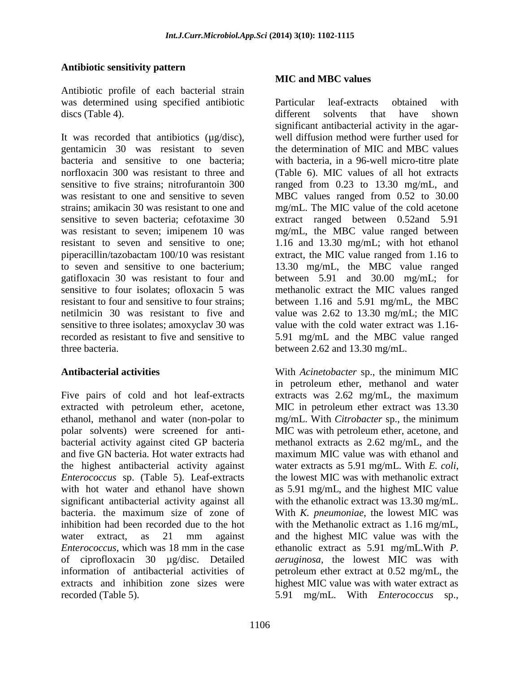#### **Antibiotic sensitivity pattern**

Antibiotic profile of each bacterial strain was determined using specified antibiotic discs [\(Table 4\)](http://www.ncbi.nlm.nih.gov/pmc/articles/PMC4027298/table/apjtd-03-03-217-t04/).

It was recorded that antibiotics (µg/disc), gentamicin 30 was resistant to seven bacteria and sensitive to one bacteria; norfloxacin 300 was resistant to three and sensitive to five strains; nitrofurantoin 300 was resistant to one and sensitive to seven strains; amikacin 30 was resistant to one and sensitive to seven bacteria; cefotaxime 30 was resistant to seven; imipenem 10 was resistant to seven and sensitive to one; piperacillin/tazobactam 100/10 was resistant to seven and sensitive to one bacterium; gatifloxacin 30 was resistant to four and sensitive to four isolates; ofloxacin 5 was resistant to four and sensitive to four strains; netilmicin 30 was resistant to five and sensitive to three isolates; amoxyclav 30 was recorded as resistant to five and sensitive to three bacteria.

#### **Antibacterial activities**

Five pairs of cold and hot leaf-extracts extracted with petroleum ether, acetone, ethanol, methanol and water (non-polar to polar solvents) were screened for antibacterial activity against cited GP bacteria and five GN bacteria. Hot water extracts had the highest antibacterial activity against *Enterococcus* sp. [\(Table 5\)](http://www.ncbi.nlm.nih.gov/pmc/articles/PMC4027298/table/apjtd-03-03-217-t05/). Leaf-extracts with hot water and ethanol have shown significant antibacterial activity against all bacteria. the maximum size of zone of inhibition had been recorded due to the hot water extract, as 21 mm against *Enterococcus*, which was 18 mm in the case of ciprofloxacin 30 µg/disc. Detailed information of antibacterial activities of extracts and inhibition zone sizes were recorded (Table 5).

#### **MIC and MBC values**

Particular leaf-extracts obtained with different solvents that have shown significant antibacterial activity in the agarwell diffusion method were further used for the determination of MIC and MBC values with bacteria, in a 96-well micro-titre plate [\(Table 6\)](http://www.ncbi.nlm.nih.gov/pmc/articles/PMC4027298/table/apjtd-03-03-217-t06/). MIC values of all hot extracts ranged from 0.23 to 13.30 mg/mL, and MBC values ranged from 0.52 to 30.00 mg/mL. The MIC value of the cold acetone extract ranged between 0.52and 5.91 mg/mL, the MBC value ranged between 1.16 and 13.30 mg/mL; with hot ethanol extract, the MIC value ranged from 1.16 to 13.30 mg/mL, the MBC value ranged between 5.91 and 30.00 mg/mL; for methanolic extract the MIC values ranged between 1.16 and 5.91 mg/mL, the MBC value was 2.62 to 13.30 mg/mL; the MIC value with the cold water extract was 1.16- 5.91 mg/mL and the MBC value ranged between 2.62 and 13.30 mg/mL.

With *Acinetobacter* sp., the minimum MIC in petroleum ether, methanol and water extracts was 2.62 mg/mL, the maximum MIC in petroleum ether extract was 13.30 mg/mL. With *Citrobacter* sp., the minimum MIC was with petroleum ether, acetone, and methanol extracts as 2.62 mg/mL, and the maximum MIC value was with ethanol and water extracts as 5.91 mg/mL. With *E. coli*, the lowest MIC was with methanolic extract as 5.91 mg/mL, and the highest MIC value with the ethanolic extract was 13.30 mg/mL. With *K. pneumoniae*, the lowest MIC was with the Methanolic extract as 1.16 mg/mL. and the highest MIC value was with the ethanolic extract as 5.91 mg/mL.With *P. aeruginosa*, the lowest MIC was with petroleum ether extract at 0.52 mg/mL, the highest MIC value was with water extract as 5.91 mg/mL. With *Enterococcus* sp.,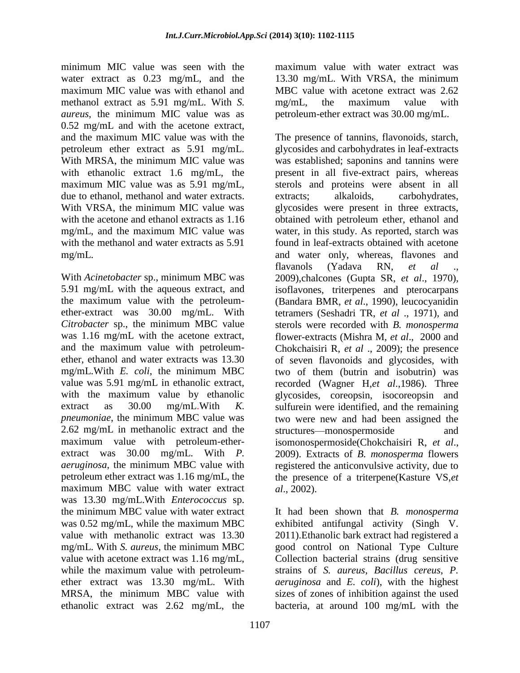minimum MIC value was seen with the water extract as 0.23 mg/mL, and the maximum MIC value was with ethanol and methanol extract as 5.91 mg/mL. With *S. aureus*, the minimum MIC value was as 0.52 mg/mL and with the acetone extract, and the maximum MIC value was with the petroleum ether extract as 5.91 mg/mL. With MRSA, the minimum MIC value was with ethanolic extract 1.6 mg/mL, the maximum MIC value was as 5.91 mg/mL, due to ethanol, methanol and water extracts. With VRSA, the minimum MIC value was with the acetone and ethanol extracts as 1.16 mg/mL, and the maximum MIC value was with the methanol and water extracts as 5.91 mg/mL.

With *Acinetobacter* sp., minimum MBC was 5.91 mg/mL with the aqueous extract, and the maximum value with the petroleumether-extract was 30.00 mg/mL. With *Citrobacter* sp., the minimum MBC value was 1.16 mg/mL with the acetone extract, and the maximum value with petroleumether, ethanol and water extracts was 13.30 mg/mL.With *E. coli*, the minimum MBC value was 5.91 mg/mL in ethanolic extract, with the maximum value by ethanolic extract as 30.00 mg/mL.With *K. pneumoniae*, the minimum MBC value was 2.62 mg/mL in methanolic extract and the maximum value with petroleum-etherextract was 30.00 mg/mL. With *P. aeruginosa*, the minimum MBC value with petroleum ether extract was 1.16 mg/mL, the maximum MBC value with water extract was 13.30 mg/mL.With *Enterococcus* sp. the minimum MBC value with water extract was 0.52 mg/mL, while the maximum MBC value with methanolic extract was 13.30 mg/mL. With *S. aureus*, the minimum MBC value with acetone extract was 1.16 mg/mL, while the maximum value with petroleumether extract was 13.30 mg/mL. With MRSA, the minimum MBC value with ethanolic extract was 2.62 mg/mL, the

maximum value with water extract was 13.30 mg/mL. With VRSA, the minimum MBC value with acetone extract was 2.62 mg/mL, the maximum value with petroleum-ether extract was 30.00 mg/mL.

The presence of tannins, flavonoids, starch, glycosides and carbohydrates in leaf-extracts was established; saponins and tannins were present in all five-extract pairs, whereas sterols and proteins were absent in all extracts; alkaloids, carbohydrates, glycosides were present in three extracts, obtained with petroleum ether, ethanol and water, in this study. As reported, starch was found in leaf-extracts obtained with acetone and water only, whereas, flavones and flavanols (Yadava RN, et al. 2009),chalcones (Gupta SR, *et al*., 1970), isoflavones, triterpenes and pterocarpans (Bandara BMR, *et al*., 1990), leucocyanidin tetramers (Seshadri TR, *et al* ., 1971), and sterols were recorded with *B. monosperma* flower-extracts (Mishra M, *et al*., 2000 and Chokchaisiri R, *et al* ., 2009); the presence of seven flavonoids and glycosides, with two of them (butrin and isobutrin) was recorded (Wagner H,*et al*.,1986). Three glycosides, coreopsin, isocoreopsin and sulfurein were identified, and the remaining two were new and had been assigned the structures—monospermoside and isomonospermoside(Chokchaisiri R, *et al*., 2009). Extracts of *B. monosperma* flowers registered the anticonvulsive activity, due to the presence of a triterpene(Kasture VS,*et al*., 2002).

It had been shown that *B. monosperma* exhibited antifungal activity (Singh V. 2011).Ethanolic bark extract had registered a good control on National Type Culture Collection bacterial strains (drug sensitive strains of *S. aureus*, *Bacillus cereus*, *P. aeruginosa* and *E. coli*), with the highest sizes of zones of inhibition against the used bacteria, at around 100 mg/mL with the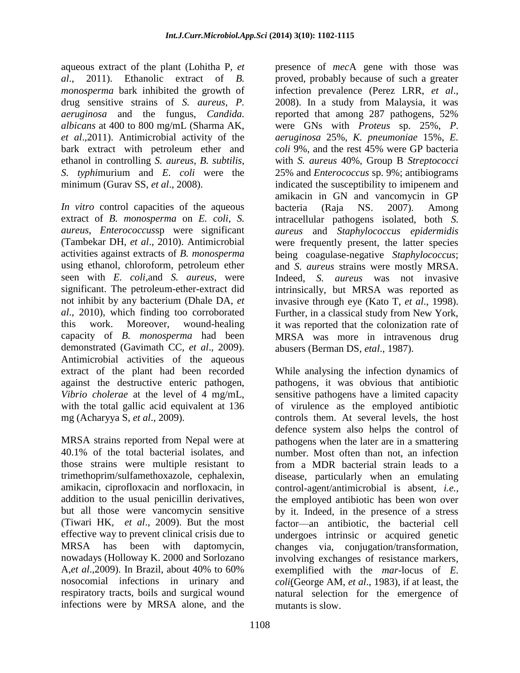aqueous extract of the plant (Lohitha P, *et al*., 2011). Ethanolic extract of *B. monosperma* bark inhibited the growth of drug sensitive strains of *S. aureus*, *P. aeruginosa* and the fungus, *Candida. albicans* at 400 to 800 mg/mL (Sharma AK, *et al*.,2011). Antimicrobial activity of the bark extract with petroleum ether and ethanol in controlling *S. aureus*, *B. subtilis*, *S. typhi*murium and *E. coli* were the minimum (Gurav SS, *et al*., 2008).

*In vitro* control capacities of the aqueous extract of *B. monosperma* on *E. coli*, *S. aureus*, *Enterococcus*sp were significant (Tambekar DH, *et al*., 2010). Antimicrobial activities against extracts of *B. monosperma* using ethanol, chloroform, petroleum ether seen with *E. coli*,and *S. aureus*, were significant. The petroleum-ether-extract did not inhibit by any bacterium (Dhale DA, *et al*., 2010), which finding too corroborated this work. Moreover, wound-healing capacity of *B. monosperma* had been demonstrated (Gavimath CC, *et al*., 2009). Antimicrobial activities of the aqueous extract of the plant had been recorded against the destructive enteric pathogen, *Vibrio cholerae* at the level of 4 mg/mL, with the total gallic acid equivalent at 136 mg (Acharyya S, *et al*., 2009).

MRSA strains reported from Nepal were at 40.1% of the total bacterial isolates, and those strains were multiple resistant to trimethoprim/sulfamethoxazole, cephalexin, amikacin, ciprofloxacin and norfloxacin, in addition to the usual penicillin derivatives, but all those were vancomycin sensitive (Tiwari HK*, et al*., 2009). But the most effective way to prevent clinical crisis due to MRSA has been with daptomycin, nowadays (Holloway K. 2000 and Sorlozano A,*et al*.,2009). In Brazil, about 40% to 60% nosocomial infections in urinary and respiratory tracts, boils and surgical wound infections were by MRSA alone, and the

presence of *mec*A gene with those was proved, probably because of such a greater infection prevalence (Perez LRR, *et al*., 2008). In a study from Malaysia, it was reported that among 287 pathogens, 52% were GNs with *Proteus* sp. 25%, *P. aeruginosa* 25%, *K. pneumoniae* 15%, *E. coli* 9%, and the rest 45% were GP bacteria with *S. aureus* 40%, Group B *Streptococci* 25% and *Enterococcus* sp. 9%; antibiograms indicated the susceptibility to imipenem and amikacin in GN and vancomycin in GP bacteria (Raja NS. 2007). Among intracellular pathogens isolated, both *S. aureus* and *Staphylococcus epidermidis* were frequently present, the latter species being coagulase-negative *Staphylococcus*; and *S. aureus* strains were mostly MRSA. Indeed, *S. aureus* was not invasive intrinsically, but MRSA was reported as invasive through eye (Kato T, *et al*., 1998). Further, in a classical study from New York, it was reported that the colonization rate of MRSA was more in intravenous drug abusers (Berman DS, *etal*., 1987).

While analysing the infection dynamics of pathogens, it was obvious that antibiotic sensitive pathogens have a limited capacity of virulence as the employed antibiotic controls them. At several levels, the host defence system also helps the control of pathogens when the later are in a smattering number. Most often than not, an infection from a MDR bacterial strain leads to a disease, particularly when an emulating control-agent/antimicrobial is absent, *i.e.*, the employed antibiotic has been won over by it. Indeed, in the presence of a stress factor—an antibiotic, the bacterial cell undergoes intrinsic or acquired genetic changes via, conjugation/transformation, involving exchanges of resistance markers, exemplified with the *mar*-locus of *E. coli*[\(George AM,](http://www.ncbi.nlm.nih.gov/pmc/articles/PMC4027298/#b48) *et al*., 1983), if at least, the natural selection for the emergence of mutants is slow.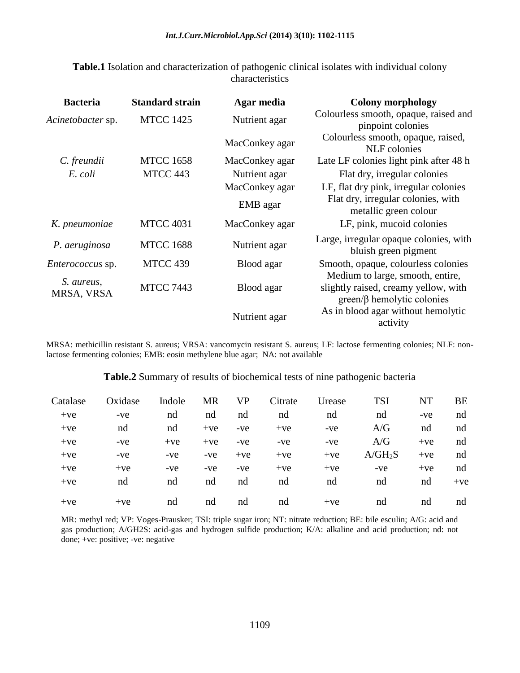| <b>Table.1</b> Isolation and characterization of pathogenic clinical isolates with individual colony |
|------------------------------------------------------------------------------------------------------|
| characteristics                                                                                      |

| <b>Bacteria</b>          | <b>Standard strain</b> | Agar media     | <b>Colony morphology</b>                                                                                     |
|--------------------------|------------------------|----------------|--------------------------------------------------------------------------------------------------------------|
| Acinetobacter sp.        | <b>MTCC 1425</b>       | Nutrient agar  | Colourless smooth, opaque, raised and<br>pinpoint colonies                                                   |
|                          |                        | MacConkey agar | Colourless smooth, opaque, raised,<br>NLF colonies                                                           |
| C. freundii              | <b>MTCC 1658</b>       | MacConkey agar | Late LF colonies light pink after 48 h                                                                       |
| E. coli                  | MTCC 443               | Nutrient agar  | Flat dry, irregular colonies                                                                                 |
|                          |                        | MacConkey agar | LF, flat dry pink, irregular colonies                                                                        |
|                          |                        | EMB agar       | Flat dry, irregular colonies, with<br>metallic green colour                                                  |
| K. pneumoniae            | <b>MTCC 4031</b>       | MacConkey agar | LF, pink, mucoid colonies                                                                                    |
| P. aeruginosa            | <b>MTCC 1688</b>       | Nutrient agar  | Large, irregular opaque colonies, with<br>bluish green pigment                                               |
| <i>Enterococcus</i> sp.  | MTCC 439               | Blood agar     | Smooth, opaque, colourless colonies                                                                          |
| S. aureus,<br>MRSA, VRSA | <b>MTCC 7443</b>       | Blood agar     | Medium to large, smooth, entire,<br>slightly raised, creamy yellow, with<br>$green/\beta$ hemolytic colonies |
|                          |                        | Nutrient agar  | As in blood agar without hemolytic<br>activity                                                               |

MRSA: methicillin resistant S. aureus; VRSA: vancomycin resistant S. aureus; LF: lactose fermenting colonies; NLF: nonlactose fermenting colonies; EMB: eosin methylene blue agar; NA: not available

#### **Table.2** Summary of results of biochemical tests of nine pathogenic bacteria

| Catalase | Oxidase | Indole | <b>MR</b> | VP    | Citrate | Urease | <b>TSI</b> | NT    | <b>BE</b> |
|----------|---------|--------|-----------|-------|---------|--------|------------|-------|-----------|
| $+ve$    | $-ve$   | nd     | nd        | nd    | nd      | nd     | nd         | -ve   | nd        |
| $+ve$    | nd      | nd     | $+ve$     | $-ve$ | $+ve$   | -ve    | A/G        | nd    | nd        |
| $+ve$    | $-ve$   | $+ve$  | $+ve$     | $-ve$ | $-ve$   | -ve    | A/G        | $+ve$ | nd        |
| $+ve$    | $-ve$   | $-ve$  | $-ve$     | $+ve$ | $+ve$   | $+ve$  | $A/GH_2S$  | $+ve$ | nd        |
| $+ve$    | $+ve$   | $-ve$  | $-ve$     | $-ve$ | $+ve$   | $+ve$  | $-ve$      | $+ve$ | nd        |
| $+ve$    | nd      | nd     | nd        | nd    | nd      | nd     | nd         | nd    | $+ve$     |
| $+ve$    | $+ve$   | nd     | nd        | nd    | nd      | $+ve$  | nd         | nd    | nd        |

MR: methyl red; VP: Voges-Prausker; TSI: triple sugar iron; NT: nitrate reduction; BE: bile esculin; A/G: acid and gas production; A/GH2S: acid-gas and hydrogen sulfide production; K/A: alkaline and acid production; nd: not done; +ve: positive; -ve: negative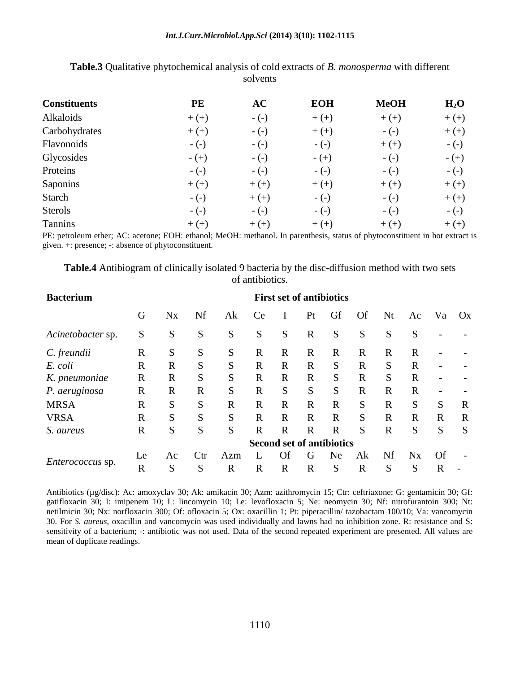#### *Int.J.Curr.Microbiol.App.Sci* **(2014) 3(10): 1102-1115**

| <b>Constituents</b> | <b>PE</b> | AC      | <b>EOH</b> | <b>MeOH</b> | $H_2O$  |
|---------------------|-----------|---------|------------|-------------|---------|
| Alkaloids           | $+ (+)$   | $-(-)$  | $+(+)$     | $+(+)$      | $+(+)$  |
| Carbohydrates       | $+(+)$    | $-(-)$  | $+(+)$     | $-(-)$      | $+(+)$  |
| Flavonoids          | $-(-)$    | $-(-)$  | $-(-)$     | $+ (+)$     | $-(-)$  |
| Glycosides          | $- (+)$   | $-(-)$  | $- (+)$    | $-(-)$      | $- (+)$ |
| Proteins            | $-(-)$    | $-(-)$  | $-(-)$     | $-(-)$      | $-(-)$  |
| Saponins            | $+(+)$    | $+ (+)$ | $+(+)$     | $+ (+)$     | $+(+)$  |
| <b>Starch</b>       | $-(-)$    | $+ (+)$ | $-(-)$     | $-(-)$      | $+(+)$  |
| <b>Sterols</b>      | $-(-)$    | $-(-)$  | $-(-)$     | $-(-)$      | $-(-)$  |
| <b>Tannins</b>      | $+ (+)$   | $+ (+)$ | $+ (+)$    | $+ (+)$     | $+(+)$  |

#### **Table.3** Qualitative phytochemical analysis of cold extracts of *B. monosperma* with different solvents

PE: petroleum ether; AC: acetone; EOH: ethanol; MeOH: methanol. In parenthesis, status of phytoconstituent in hot extract is given. +: presence; -: absence of phytoconstituent.

|                         |                                  |             |              |              | or amnonomos.           |             |              |              |              |             |             |                          |             |
|-------------------------|----------------------------------|-------------|--------------|--------------|-------------------------|-------------|--------------|--------------|--------------|-------------|-------------|--------------------------|-------------|
| <b>Bacterium</b>        | <b>First set of antibiotics</b>  |             |              |              |                         |             |              |              |              |             |             |                          |             |
|                         | G                                | Nx          | Nf           | Ak           | Ce                      | I           | Pt           | Gf           | <b>Of</b>    | Nt          | Ac          | Va                       | Ox          |
| Acinetobacter sp.       | S                                | S           | S            | S            | S                       | S           | $\mathbf R$  | S            | S            | S           | S           |                          |             |
| C. freundii             | $\mathbf R$                      | S           | S            | S            | $\mathbf R$             | $\mathbf R$ | $\mathbf R$  | $\mathbb{R}$ | $\mathbf R$  | $\mathbf R$ | $\mathbf R$ |                          |             |
| E. coli                 | $\mathbf R$                      | $\mathbf R$ | S            | S            | $\overline{R}$          | $\mathbf R$ | $\mathbf R$  | S            | $\mathbf R$  | S           | $\mathbf R$ | -                        |             |
| K. pneumoniae           | $\mathbf R$                      | $\mathbf R$ | S            | S            | $\mathbf R$             | $\mathbf R$ | $\mathbf R$  | S            | $\mathbb{R}$ | S           | $\mathbf R$ | -                        |             |
| P. aeruginosa           | $\mathbf R$                      | $\mathbf R$ | $\mathbf R$  | S            | $\mathbb{R}$            | S           | S            | S            | $\mathbf R$  | $\mathbf R$ | $\mathbf R$ | $\overline{\phantom{a}}$ |             |
| <b>MRSA</b>             | $\mathbf R$                      | S           | S            | $\mathbf R$  | $\overline{R}$          | $\mathbf R$ | $\mathbf R$  | $\mathbf R$  | S            | $\mathbf R$ | S           | S                        | R           |
| <b>VRSA</b>             | $\mathbf R$                      | S           | S            | S            | $\mathbb{R}$            | $\mathbf R$ | $\mathbf R$  | $\mathbf R$  | S            | $\mathbf R$ | $\mathbf R$ | $\mathbf R$              | $\mathbf R$ |
| S. aureus               | $\mathbf R$                      | S           | S            | S            | $\mathsf{R}$            | $\mathbf R$ | $\mathbb{R}$ | $\mathbf R$  | S            | $\mathbf R$ | S           | S                        | S           |
|                         | <b>Second set of antibiotics</b> |             |              |              |                         |             |              |              |              |             |             |                          |             |
|                         | Le                               | Ac          | $_{\rm Ctr}$ | Azm          | L                       | Of          | G            | <b>Ne</b>    | Ak           | Nf          | $N_{X}$     | <b>Of</b>                |             |
| <i>Enterococcus</i> sp. | $\mathbf R$                      | S           | S            | $\mathbb{R}$ | $\overline{\mathrm{R}}$ | $\mathbf R$ | $\mathbf R$  | S            | $\mathbf R$  | S           | S           | $\mathbb{R}$             |             |

**Table.4** Antibiogram of clinically isolated 9 bacteria by the disc-diffusion method with two sets of antibiotics.

Antibiotics (µg/disc): Ac: amoxyclav 30; Ak: amikacin 30; Azm: azithromycin 15; Ctr: ceftriaxone; G: gentamicin 30; Gf: gatifloxacin 30; I: imipenem 10; L: lincomycin 10; Le: levofloxacin 5; Ne: neomycin 30; Nf: nitrofurantoin 300; Nt: netilmicin 30; Nx: norfloxacin 300; Of: ofloxacin 5; Ox: oxacillin 1; Pt: piperacillin/ tazobactam 100/10; Va: vancomycin 30. For *S. aureus*, oxacillin and vancomycin was used individually and lawns had no inhibition zone. R: resistance and S: sensitivity of a bacterium; -: antibiotic was not used. Data of the second repeated experiment are presented. All values are mean of duplicate readings.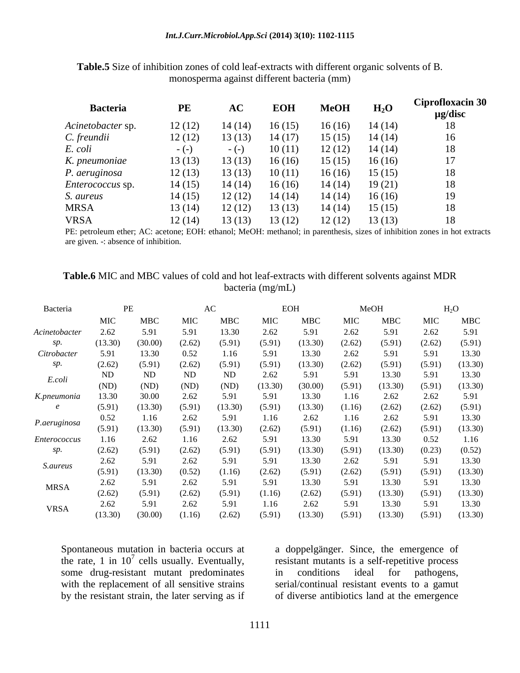#### *Int.J.Curr.Microbiol.App.Sci* **(2014) 3(10): 1102-1115**

| <b>Bacteria</b>         | PE      | AC      | <b>EOH</b> | <b>MeOH</b> | $H_2O$ | Ciprofloxacin 30<br>$\mu$ g/disc |
|-------------------------|---------|---------|------------|-------------|--------|----------------------------------|
| Acinetobacter sp.       | 12(12)  | 14 (14) | 16(15)     | 16(16)      | 14(14) | 18                               |
| C. freundii             | 12(12)  | 13(13)  | 14(17)     | 15(15)      | 14(14) | 16                               |
| E. coli                 | $-(-)$  | $-(-)$  | 10(11)     | 12(12)      | 14(14) | 18                               |
| K. pneumoniae           | 13(13)  | 13 (13) | 16(16)     | 15(15)      | 16(16) | 17                               |
| P. aeruginosa           | 12(13)  | 13(13)  | 10(11)     | 16(16)      | 15(15) | 18                               |
| <i>Enterococcus</i> sp. | 14 (15) | 14 (14) | 16(16)     | 14(14)      | 19(21) | 18                               |
| S. aureus               | 14(15)  | 12(12)  | 14(14)     | 14(14)      | 16(16) | 19                               |
| <b>MRSA</b>             | 13 (14) | 12(12)  | 13(13)     | 14(14)      | 15(15) | 18                               |
| <b>VRSA</b>             | 12(14)  | 13 (13) | 13(12)     | 12(12)      | 13(13) | 18                               |

**Table.5** Size of inhibition zones of cold leaf-extracts with different organic solvents of B. monosperma against different bacteria (mm)

PE: petroleum ether; AC: acetone; EOH: ethanol; MeOH: methanol; in parenthesis, sizes of inhibition zones in hot extracts are given. -: absence of inhibition.

| Bacteria            | PE      |            | AC     |            | <b>EOH</b> |            |        | MeOH       | $H_2O$ |            |  |
|---------------------|---------|------------|--------|------------|------------|------------|--------|------------|--------|------------|--|
|                     | MIC     | <b>MBC</b> | MIC    | <b>MBC</b> | MIC        | <b>MBC</b> | MIC    | <b>MBC</b> | MIC    | <b>MBC</b> |  |
| Acinetobacter       | 2.62    | 5.91       | 5.91   | 13.30      | 2.62       | 5.91       | 2.62   | 5.91       | 2.62   | 5.91       |  |
| sp.                 | (13.30) | (30.00)    | (2.62) | (5.91)     | (5.91)     | (13.30)    | (2.62) | (5.91)     | (2.62) | (5.91)     |  |
| Citrobacter         | 5.91    | 13.30      | 0.52   | 1.16       | 5.91       | 13.30      | 2.62   | 5.91       | 5.91   | 13.30      |  |
| sp.                 | (2.62)  | (5.91)     | (2.62) | (5.91)     | (5.91)     | (13.30)    | (2.62) | (5.91)     | (5.91) | (13.30)    |  |
| E.coli              | ND      | ND         | ND     | ND         | 2.62       | 5.91       | 5.91   | 13.30      | 5.91   | 13.30      |  |
|                     | (ND)    | (ND)       | (ND)   | (ND)       | (13.30)    | (30.00)    | (5.91) | (13.30)    | (5.91) | (13.30)    |  |
| K.pneumonia         | 13.30   | 30.00      | 2.62   | 5.91       | 5.91       | 13.30      | 1.16   | 2.62       | 2.62   | 5.91       |  |
| $\epsilon$          | (5.91)  | (13.30)    | (5.91) | (13.30)    | (5.91)     | (13.30)    | (1.16) | (2.62)     | (2.62) | (5.91)     |  |
| P.aeruginosa        | 0.52    | 1.16       | 2.62   | 5.91       | 1.16       | 2.62       | 1.16   | 2.62       | 5.91   | 13.30      |  |
|                     | (5.91)  | (13.30)    | (5.91) | (13.30)    | (2.62)     | (5.91)     | (1.16) | (2.62)     | (5.91) | (13.30)    |  |
| <i>Enterococcus</i> | 1.16    | 2.62       | 1.16   | 2.62       | 5.91       | 13.30      | 5.91   | 13.30      | 0.52   | 1.16       |  |
| sp.                 | (2.62)  | (5.91)     | (2.62) | (5.91)     | (5.91)     | (13.30)    | (5.91) | (13.30)    | (0.23) | (0.52)     |  |
| <i>S.aureus</i>     | 2.62    | 5.91       | 2.62   | 5.91       | 5.91       | 13.30      | 2.62   | 5.91       | 5.91   | 13.30      |  |
|                     | (5.91)  | (13.30)    | (0.52) | (1.16)     | (2.62)     | (5.91)     | (2.62) | (5.91)     | (5.91) | (13.30)    |  |
| <b>MRSA</b>         | 2.62    | 5.91       | 2.62   | 5.91       | 5.91       | 13.30      | 5.91   | 13.30      | 5.91   | 13.30      |  |
|                     | (2.62)  | (5.91)     | (2.62) | (5.91)     | (1.16)     | (2.62)     | (5.91) | (13.30)    | (5.91) | (13.30)    |  |
| <b>VRSA</b>         | 2.62    | 5.91       | 2.62   | 5.91       | 1.16       | 2.62       | 5.91   | 13.30      | 5.91   | 13.30      |  |
|                     | (13.30) | (30.00)    | (1.16) | (2.62)     | (5.91)     | (13.30)    | (5.91) | (13.30)    | (5.91) | (13.30)    |  |

**Table.6** MIC and MBC values of cold and hot leaf-extracts with different solvents against MDR bacteria (mg/mL)

Spontaneous mutation in bacteria occurs at the rate, 1 in  $10^7$  cells usually. Eventually, some drug-resistant mutant predominates with the replacement of all sensitive strains by the resistant strain, the later serving as if

a doppelgänger. Since, the emergence of resistant mutants is a self-repetitive process in conditions ideal for pathogens, serial/continual resistant events to a gamut of diverse antibiotics land at the emergence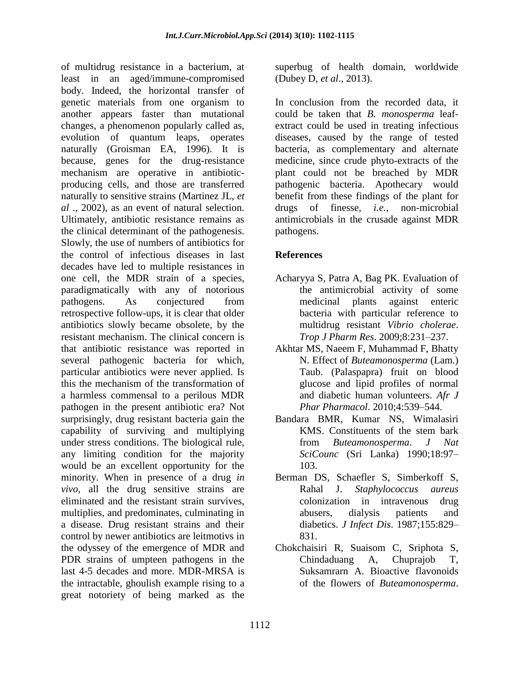of multidrug resistance in a bacterium, at least in an aged/immune-compromised body. Indeed, the horizontal transfer of genetic materials from one organism to another appears faster than mutational changes, a phenomenon popularly called as, evolution of quantum leaps, operates naturally (Groisman EA, 1996). It is because, genes for the drug-resistance mechanism are operative in antibioticproducing cells, and those are transferred naturally to sensitive strains (Martinez JL, *et al* ., 2002), as an event of natural selection. Ultimately, antibiotic resistance remains as the clinical determinant of the pathogenesis. Slowly, the use of numbers of antibiotics for the control of infectious diseases in last decades have led to multiple resistances in one cell, the MDR strain of a species, paradigmatically with any of notorious pathogens. As conjectured from retrospective follow-ups, it is clear that older antibiotics slowly became obsolete, by the resistant mechanism. The clinical concern is that antibiotic resistance was reported in several pathogenic bacteria for which, particular antibiotics were never applied. Is this the mechanism of the transformation of a harmless commensal to a perilous MDR pathogen in the present antibiotic era? Not surprisingly, drug resistant bacteria gain the capability of surviving and multiplying under stress conditions. The biological rule, any limiting condition for the majority would be an excellent opportunity for the minority. When in presence of a drug *in vivo*, all the drug sensitive strains are eliminated and the resistant strain survives, multiplies, and predominates, culminating in a disease. Drug resistant strains and their control by newer antibiotics are leitmotivs in the odyssey of the emergence of MDR and PDR strains of umpteen pathogens in the last 4-5 decades and more. MDR-MRSA is the intractable, ghoulish example rising to a great notoriety of being marked as the

superbug of health domain, worldwide (Dubey D, *et al*., 2013).

In conclusion from the recorded data, it could be taken that *B. monosperma* leafextract could be used in treating infectious diseases, caused by the range of tested bacteria, as complementary and alternate medicine, since crude phyto-extracts of the plant could not be breached by MDR pathogenic bacteria. Apothecary would benefit from these findings of the plant for drugs of finesse, *i.e.*, non-microbial antimicrobials in the crusade against MDR pathogens.

# **References**

- Acharyya S, Patra A, Bag PK. Evaluation of the antimicrobial activity of some medicinal plants against enteric bacteria with particular reference to multidrug resistant *Vibrio cholerae*. *Trop J Pharm Res*. 2009;8:231–237.
- Akhtar MS, Naeem F, Muhammad F, Bhatty N. Effect of *Buteamonosperma* (Lam.) Taub. (Palaspapra) fruit on blood glucose and lipid profiles of normal and diabetic human volunteers. *Afr J Phar Pharmacol*. 2010;4:539–544.
- Bandara BMR, Kumar NS, Wimalasiri KMS. Constituents of the stem bark from *Buteamonosperma*. *J Nat SciCounc* (Sri Lanka) 1990;18:97– 103.
- Berman DS, Schaefler S, Simberkoff S, Rahal J. *Staphylococcus aureus* colonization in intravenous drug abusers, dialysis patients and diabetics. *J Infect Dis*. 1987;155:829– 831.
- Chokchaisiri R, Suaisom C, Sriphota S, Chindaduang A, Chuprajob T, Suksamrarn A. Bioactive flavonoids of the flowers of *Buteamonosperma*.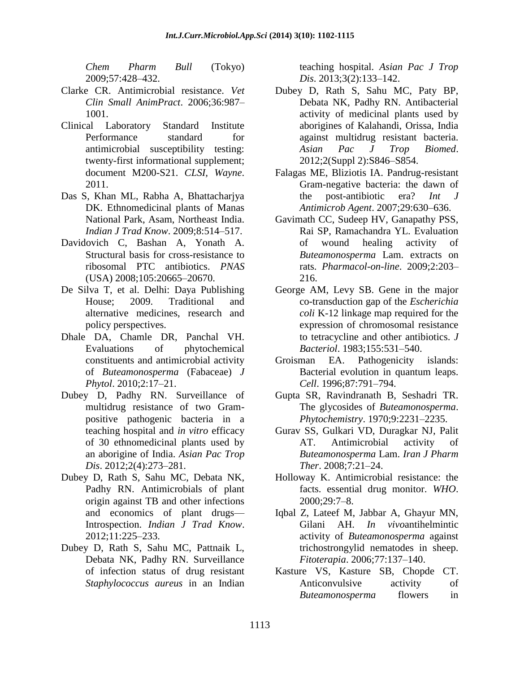*Chem Pharm Bull* (Tokyo) 2009;57:428–432.

- Clarke CR. Antimicrobial resistance. *Vet Clin Small AnimPract*. 2006;36:987– 1001.
- Clinical Laboratory Standard Institute Performance standard for antimicrobial susceptibility testing: twenty-first informational supplement; document M200-S21. *CLSI, Wayne*. 2011.
- Das S, Khan ML, Rabha A, Bhattacharjya DK. Ethnomedicinal plants of Manas National Park, Asam, Northeast India. *Indian J Trad Know*. 2009;8:514–517.
- Davidovich C, Bashan A, Yonath A. Structural basis for cross-resistance to ribosomal PTC antibiotics. *PNAS* (USA) 2008;105:20665–20670.
- De Silva T, et al. Delhi: Daya Publishing House; 2009. Traditional and alternative medicines, research and policy perspectives.
- Dhale DA, Chamle DR, Panchal VH. Evaluations of phytochemical constituents and antimicrobial activity of *Buteamonosperma* (Fabaceae) *J Phytol*. 2010;2:17–21.
- Dubey D, Padhy RN. Surveillance of multidrug resistance of two Grampositive pathogenic bacteria in a teaching hospital and *in vitro* efficacy of 30 ethnomedicinal plants used by an aborigine of India. *Asian Pac Trop Dis*. 2012;2(4):273–281.
- Dubey D, Rath S, Sahu MC, Debata NK, Padhy RN. Antimicrobials of plant origin against TB and other infections and economics of plant drugs— Introspection. *Indian J Trad Know*. 2012;11:225–233.
- Dubey D, Rath S, Sahu MC, Pattnaik L, Debata NK, Padhy RN. Surveillance of infection status of drug resistant *Staphylococcus aureus* in an Indian

teaching hospital. *Asian Pac J Trop Dis*. 2013;3(2):133–142.

- Dubey D, Rath S, Sahu MC, Paty BP, Debata NK, Padhy RN. Antibacterial activity of medicinal plants used by aborigines of Kalahandi, Orissa, India against multidrug resistant bacteria. *Asian Pac J Trop Biomed*. 2012;2(Suppl 2):S846–S854.
- Falagas ME, Bliziotis IA. Pandrug-resistant Gram-negative bacteria: the dawn of the post-antibiotic era? *Int J Antimicrob Agent*. 2007;29:630–636.
- Gavimath CC, Sudeep HV, Ganapathy PSS, Rai SP, Ramachandra YL. Evaluation of wound healing activity of *Buteamonosperma* Lam. extracts on rats. *Pharmacol-on-line*. 2009;2:203– 216.
- George AM, Levy SB. Gene in the major co-transduction gap of the *Escherichia coli* K-12 linkage map required for the expression of chromosomal resistance to tetracycline and other antibiotics. *J Bacteriol*. 1983;155:531–540.
- Groisman EA. Pathogenicity islands: Bacterial evolution in quantum leaps. *Cell*. 1996;87:791–794.
- Gupta SR, Ravindranath B, Seshadri TR. The glycosides of *Buteamonosperma*. *Phytochemistry*. 1970;9:2231–2235.
- Gurav SS, Gulkari VD, Duragkar NJ, Palit AT. Antimicrobial activity of *Buteamonosperma* Lam. *Iran J Pharm Ther*. 2008;7:21–24.
- Holloway K. Antimicrobial resistance: the facts. essential drug monitor. *WHO*. 2000;29:7–8.
- Iqbal Z, Lateef M, Jabbar A, Ghayur MN, Gilani AH. *In vivo*antihelmintic activity of *Buteamonosperma* against trichostrongylid nematodes in sheep. *Fitoterapia*. 2006;77:137–140.
- Kasture VS, Kasture SB, Chopde CT. Anticonvulsive activity of *Buteamonosperma* flowers in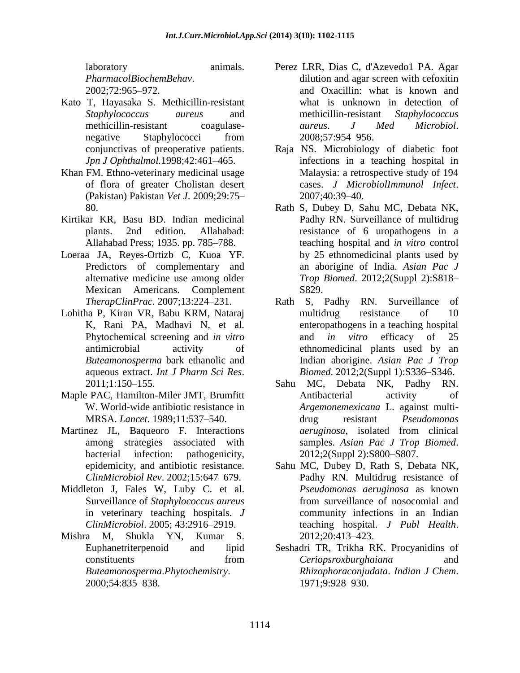laboratory animals. *PharmacolBiochemBehav*. 2002;72:965–972.

- Kato T, Hayasaka S. Methicillin-resistant *Staphylococcus aureus* and methicillin-resistant coagulasenegative Staphylococci from conjunctivas of preoperative patients. *Jpn J Ophthalmol.*1998;42:461–465.
- Khan FM. Ethno-veterinary medicinal usage of flora of greater Cholistan desert (Pakistan) Pakistan *Vet J*. 2009;29:75– 80.
- Kirtikar KR, Basu BD. Indian medicinal plants. 2nd edition. Allahabad: Allahabad Press; 1935. pp. 785–788.
- Loeraa JA, Reyes-Ortizb C, Kuoa YF. Predictors of complementary and alternative medicine use among older Mexican Americans. Complement *TherapClinPrac*. 2007;13:224–231.
- Lohitha P, Kiran VR, Babu KRM, Nataraj K, Rani PA, Madhavi N, et al. Phytochemical screening and *in vitro* antimicrobial activity of *Buteamonosperma* bark ethanolic and aqueous extract. *Int J Pharm Sci Res*. 2011;1:150–155.
- Maple PAC, Hamilton-Miler JMT, Brumfitt W. World-wide antibiotic resistance in MRSA. *Lancet*. 1989;11:537–540.
- Martinez JL, Baqueoro F. Interactions among strategies associated with bacterial infection: pathogenicity, epidemicity, and antibiotic resistance. *ClinMicrobiol Rev*. 2002;15:647–679.
- Middleton J, Fales W, Luby C. et al. Surveillance of *Staphylococcus aureus* in veterinary teaching hospitals. *J ClinMicrobiol*. 2005; 43:2916–2919.
- Mishra M, Shukla YN, Kumar S. Euphanetriterpenoid and lipid constituents from *Buteamonosperma*.*Phytochemistry*. 2000;54:835–838.
- Perez LRR, Dias C, d'Azevedo1 PA. Agar dilution and agar screen with cefoxitin and Oxacillin: what is known and what is unknown in detection of methicillin-resistant *Staphylococcus aureus*. *J Med Microbiol*. 2008;57:954–956.
- Raja NS. Microbiology of diabetic foot infections in a teaching hospital in Malaysia: a retrospective study of 194 cases. *J MicrobiolImmunol Infect*. 2007;40:39–40.
- Rath S, Dubey D, Sahu MC, Debata NK, Padhy RN. Surveillance of multidrug resistance of 6 uropathogens in a teaching hospital and *in vitro* control by 25 ethnomedicinal plants used by an aborigine of India. *Asian Pac J Trop Biomed*. 2012;2(Suppl 2):S818– S829.
- Rath S, Padhy RN. Surveillance of multidrug resistance of 10 enteropathogens in a teaching hospital and *in vitro* efficacy of 25 ethnomedicinal plants used by an Indian aborigine. *Asian Pac J Trop Biomed*. 2012;2(Suppl 1):S336–S346.
- Sahu MC, Debata NK, Padhy RN. Antibacterial activity of *Argemonemexicana* L. against multidrug resistant *Pseudomonas aeruginosa*, isolated from clinical samples. *Asian Pac J Trop Biomed*. 2012;2(Suppl 2):S800–S807.
- Sahu MC, Dubey D, Rath S, Debata NK, Padhy RN. Multidrug resistance of *Pseudomonas aeruginosa* as known from surveillance of nosocomial and community infections in an Indian teaching hospital. *J Publ Health*. 2012;20:413–423.
- Seshadri TR, Trikha RK. Procyanidins of *Ceriopsroxburghaiana* and *Rhizophoraconjudata*. *Indian J Chem*. 1971;9:928–930.